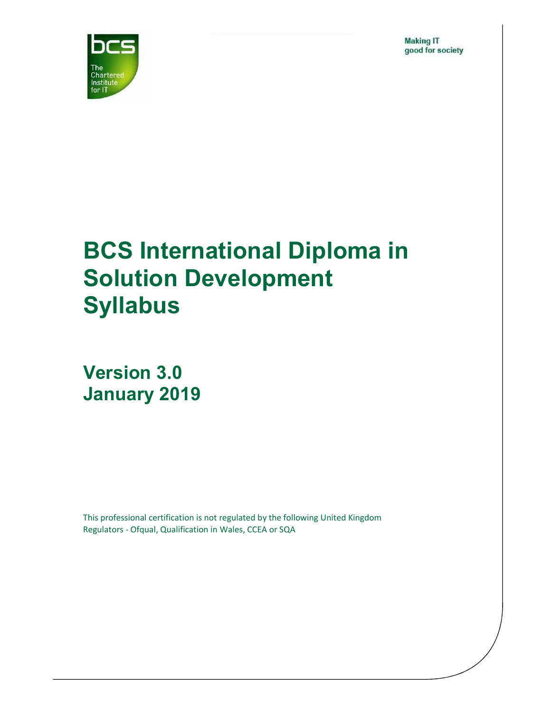**Making IT** good for society



# BCS International Diploma in Solution Development Syllabus

Version 3.0 January 2019

This professional certification is not regulated by the following United Kingdom Regulators - Ofqual, Qualification in Wales, CCEA or SQA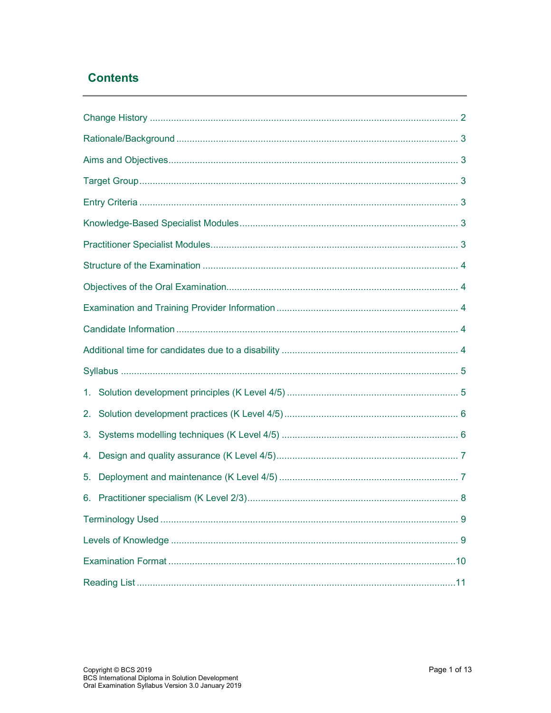### **Contents**

| 3. |  |  |  |
|----|--|--|--|
| 4. |  |  |  |
| 5. |  |  |  |
|    |  |  |  |
|    |  |  |  |
|    |  |  |  |
|    |  |  |  |
|    |  |  |  |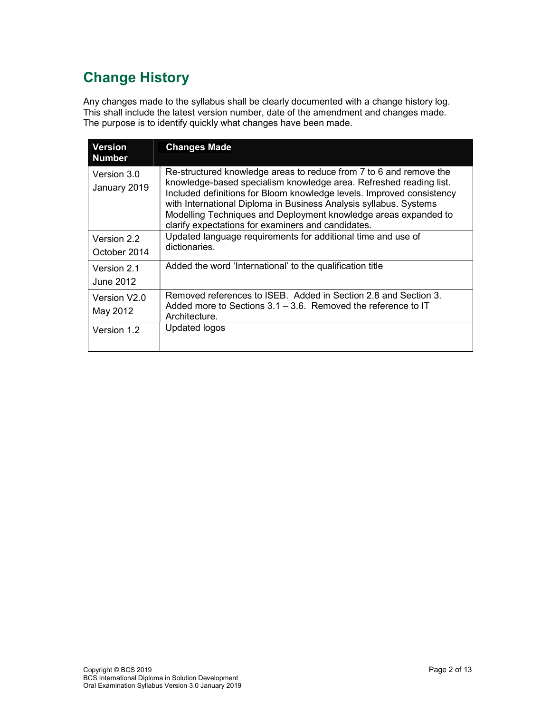# Change History

Any changes made to the syllabus shall be clearly documented with a change history log. This shall include the latest version number, date of the amendment and changes made. The purpose is to identify quickly what changes have been made.

| <b>Version</b><br><b>Number</b> | <b>Changes Made</b>                                                                                                                                                                                                                                                                                                                                                                                             |
|---------------------------------|-----------------------------------------------------------------------------------------------------------------------------------------------------------------------------------------------------------------------------------------------------------------------------------------------------------------------------------------------------------------------------------------------------------------|
| Version 3.0<br>January 2019     | Re-structured knowledge areas to reduce from 7 to 6 and remove the<br>knowledge-based specialism knowledge area. Refreshed reading list.<br>Included definitions for Bloom knowledge levels. Improved consistency<br>with International Diploma in Business Analysis syllabus. Systems<br>Modelling Techniques and Deployment knowledge areas expanded to<br>clarify expectations for examiners and candidates. |
| Version 2.2<br>October 2014     | Updated language requirements for additional time and use of<br>dictionaries.                                                                                                                                                                                                                                                                                                                                   |
| Version 2.1<br>June 2012        | Added the word 'International' to the qualification title                                                                                                                                                                                                                                                                                                                                                       |
| Version V2.0<br>May 2012        | Removed references to ISEB. Added in Section 2.8 and Section 3.<br>Added more to Sections $3.1 - 3.6$ . Removed the reference to IT<br>Architecture.                                                                                                                                                                                                                                                            |
| Version 1.2                     | Updated logos                                                                                                                                                                                                                                                                                                                                                                                                   |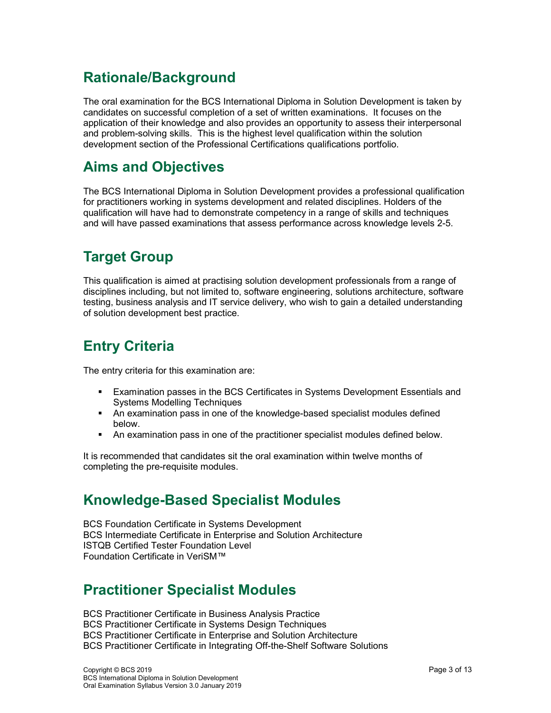# Rationale/Background

The oral examination for the BCS International Diploma in Solution Development is taken by candidates on successful completion of a set of written examinations. It focuses on the application of their knowledge and also provides an opportunity to assess their interpersonal and problem-solving skills. This is the highest level qualification within the solution development section of the Professional Certifications qualifications portfolio.

# Aims and Objectives

The BCS International Diploma in Solution Development provides a professional qualification for practitioners working in systems development and related disciplines. Holders of the qualification will have had to demonstrate competency in a range of skills and techniques and will have passed examinations that assess performance across knowledge levels 2-5.

# Target Group

This qualification is aimed at practising solution development professionals from a range of disciplines including, but not limited to, software engineering, solutions architecture, software testing, business analysis and IT service delivery, who wish to gain a detailed understanding of solution development best practice.

# Entry Criteria

The entry criteria for this examination are:

- Examination passes in the BCS Certificates in Systems Development Essentials and Systems Modelling Techniques
- An examination pass in one of the knowledge-based specialist modules defined below.
- An examination pass in one of the practitioner specialist modules defined below.

It is recommended that candidates sit the oral examination within twelve months of completing the pre-requisite modules.

# Knowledge-Based Specialist Modules

BCS Foundation Certificate in Systems Development BCS Intermediate Certificate in Enterprise and Solution Architecture ISTQB Certified Tester Foundation Level Foundation Certificate in VeriSM™

### Practitioner Specialist Modules

BCS Practitioner Certificate in Business Analysis Practice BCS Practitioner Certificate in Systems Design Techniques BCS Practitioner Certificate in Enterprise and Solution Architecture BCS Practitioner Certificate in Integrating Off-the-Shelf Software Solutions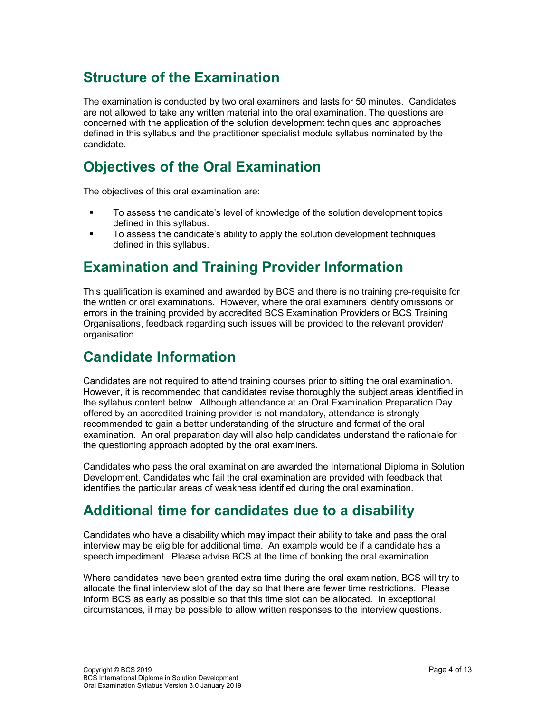# Structure of the Examination

The examination is conducted by two oral examiners and lasts for 50 minutes. Candidates are not allowed to take any written material into the oral examination. The questions are concerned with the application of the solution development techniques and approaches defined in this syllabus and the practitioner specialist module syllabus nominated by the candidate.

### Objectives of the Oral Examination

The objectives of this oral examination are:

- **The assess the candidate's level of knowledge of the solution development topics** defined in this syllabus.
- To assess the candidate's ability to apply the solution development techniques defined in this syllabus.

# Examination and Training Provider Information

This qualification is examined and awarded by BCS and there is no training pre-requisite for the written or oral examinations. However, where the oral examiners identify omissions or errors in the training provided by accredited BCS Examination Providers or BCS Training Organisations, feedback regarding such issues will be provided to the relevant provider/ organisation.

### Candidate Information

Candidates are not required to attend training courses prior to sitting the oral examination. However, it is recommended that candidates revise thoroughly the subject areas identified in the syllabus content below. Although attendance at an Oral Examination Preparation Day offered by an accredited training provider is not mandatory, attendance is strongly recommended to gain a better understanding of the structure and format of the oral examination. An oral preparation day will also help candidates understand the rationale for the questioning approach adopted by the oral examiners.

Candidates who pass the oral examination are awarded the International Diploma in Solution Development. Candidates who fail the oral examination are provided with feedback that identifies the particular areas of weakness identified during the oral examination.

### Additional time for candidates due to a disability

Candidates who have a disability which may impact their ability to take and pass the oral interview may be eligible for additional time. An example would be if a candidate has a speech impediment. Please advise BCS at the time of booking the oral examination.

Where candidates have been granted extra time during the oral examination, BCS will try to allocate the final interview slot of the day so that there are fewer time restrictions. Please inform BCS as early as possible so that this time slot can be allocated. In exceptional circumstances, it may be possible to allow written responses to the interview questions.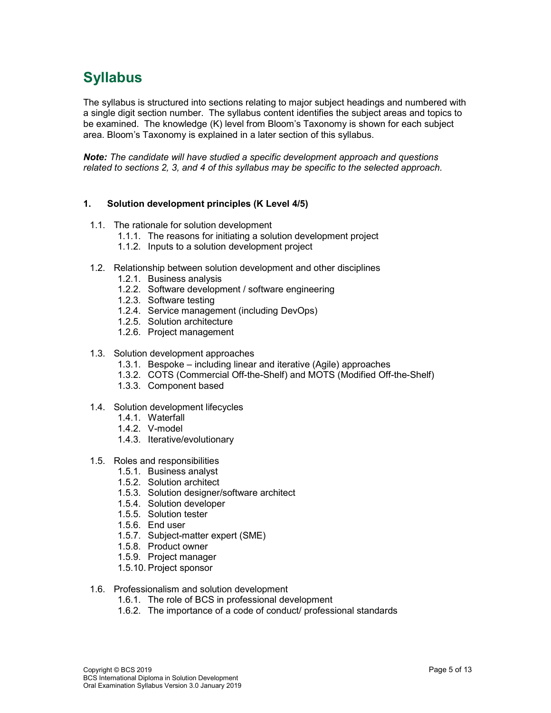# Syllabus

The syllabus is structured into sections relating to major subject headings and numbered with a single digit section number. The syllabus content identifies the subject areas and topics to be examined. The knowledge (K) level from Bloom's Taxonomy is shown for each subject area. Bloom's Taxonomy is explained in a later section of this syllabus.

Note: The candidate will have studied a specific development approach and questions related to sections 2, 3, and 4 of this syllabus may be specific to the selected approach.

### 1. Solution development principles (K Level 4/5)

- 1.1. The rationale for solution development
	- 1.1.1. The reasons for initiating a solution development project
	- 1.1.2. Inputs to a solution development project
- 1.2. Relationship between solution development and other disciplines
	- 1.2.1. Business analysis
	- 1.2.2. Software development / software engineering
	- 1.2.3. Software testing
	- 1.2.4. Service management (including DevOps)
	- 1.2.5. Solution architecture
	- 1.2.6. Project management
- 1.3. Solution development approaches
	- 1.3.1. Bespoke including linear and iterative (Agile) approaches
	- 1.3.2. COTS (Commercial Off-the-Shelf) and MOTS (Modified Off-the-Shelf)
	- 1.3.3. Component based
- 1.4. Solution development lifecycles
	- 1.4.1. Waterfall
	- 1.4.2. V-model
	- 1.4.3. Iterative/evolutionary
- 1.5. Roles and responsibilities
	- 1.5.1. Business analyst
		- 1.5.2. Solution architect
		- 1.5.3. Solution designer/software architect
		- 1.5.4. Solution developer
		- 1.5.5. Solution tester
		- 1.5.6. End user
		- 1.5.7. Subject-matter expert (SME)
		- 1.5.8. Product owner
	- 1.5.9. Project manager
	- 1.5.10. Project sponsor
- 1.6. Professionalism and solution development
	- 1.6.1. The role of BCS in professional development
	- 1.6.2. The importance of a code of conduct/ professional standards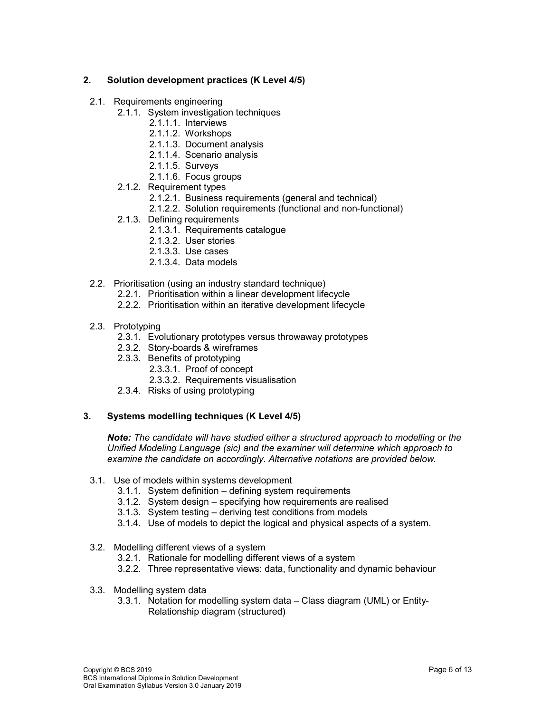### 2. Solution development practices (K Level 4/5)

- 2.1. Requirements engineering
	- 2.1.1. System investigation techniques
		- 2.1.1.1. Interviews
		- 2.1.1.2. Workshops
		- 2.1.1.3. Document analysis
		- 2.1.1.4. Scenario analysis
		- 2.1.1.5. Surveys
		- 2.1.1.6. Focus groups
	- 2.1.2. Requirement types
		- 2.1.2.1. Business requirements (general and technical)
		- 2.1.2.2. Solution requirements (functional and non-functional)
	- 2.1.3. Defining requirements
		- 2.1.3.1. Requirements catalogue
		- 2.1.3.2. User stories
		- 2.1.3.3. Use cases
		- 2.1.3.4. Data models
- 2.2. Prioritisation (using an industry standard technique)
	- 2.2.1. Prioritisation within a linear development lifecycle
	- 2.2.2. Prioritisation within an iterative development lifecycle
- 2.3. Prototyping
	- 2.3.1. Evolutionary prototypes versus throwaway prototypes
	- 2.3.2. Story-boards & wireframes
	- 2.3.3. Benefits of prototyping
		- 2.3.3.1. Proof of concept
			- 2.3.3.2. Requirements visualisation
	- 2.3.4. Risks of using prototyping

### 3. Systems modelling techniques (K Level 4/5)

Note: The candidate will have studied either a structured approach to modelling or the Unified Modeling Language (sic) and the examiner will determine which approach to examine the candidate on accordingly. Alternative notations are provided below.

- 3.1. Use of models within systems development
	- 3.1.1. System definition defining system requirements
	- 3.1.2. System design specifying how requirements are realised
	- 3.1.3. System testing deriving test conditions from models
	- 3.1.4. Use of models to depict the logical and physical aspects of a system.
- 3.2. Modelling different views of a system
	- 3.2.1. Rationale for modelling different views of a system
	- 3.2.2. Three representative views: data, functionality and dynamic behaviour
- 3.3. Modelling system data
	- 3.3.1. Notation for modelling system data Class diagram (UML) or Entity-Relationship diagram (structured)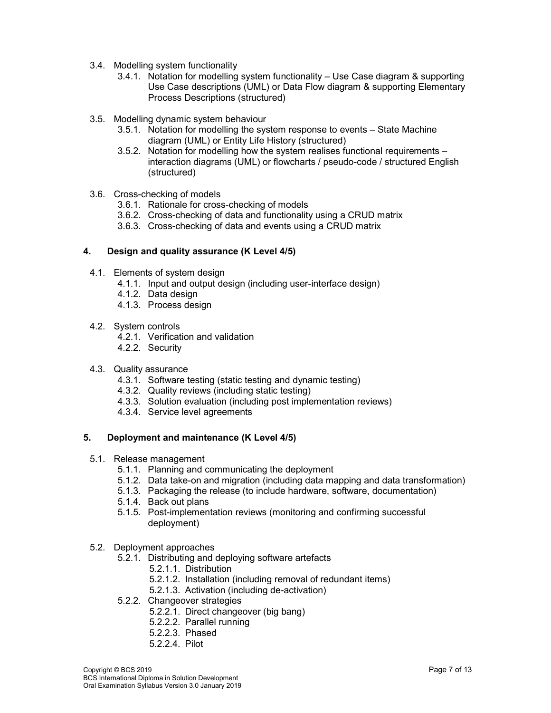- 3.4. Modelling system functionality
	- 3.4.1. Notation for modelling system functionality Use Case diagram & supporting Use Case descriptions (UML) or Data Flow diagram & supporting Elementary Process Descriptions (structured)
- 3.5. Modelling dynamic system behaviour
	- 3.5.1. Notation for modelling the system response to events State Machine diagram (UML) or Entity Life History (structured)
	- 3.5.2. Notation for modelling how the system realises functional requirements interaction diagrams (UML) or flowcharts / pseudo-code / structured English (structured)
- 3.6. Cross-checking of models
	- 3.6.1. Rationale for cross-checking of models
	- 3.6.2. Cross-checking of data and functionality using a CRUD matrix
	- 3.6.3. Cross-checking of data and events using a CRUD matrix

#### 4. Design and quality assurance (K Level 4/5)

- 4.1. Elements of system design
	- 4.1.1. Input and output design (including user-interface design)
	- 4.1.2. Data design
		- 4.1.3. Process design
- 4.2. System controls
	- 4.2.1. Verification and validation
	- 4.2.2. Security
- 4.3. Quality assurance
	- 4.3.1. Software testing (static testing and dynamic testing)
	- 4.3.2. Quality reviews (including static testing)
	- 4.3.3. Solution evaluation (including post implementation reviews)
	- 4.3.4. Service level agreements

### 5. Deployment and maintenance (K Level 4/5)

- 5.1. Release management
	- 5.1.1. Planning and communicating the deployment
	- 5.1.2. Data take-on and migration (including data mapping and data transformation)
	- 5.1.3. Packaging the release (to include hardware, software, documentation)
	- 5.1.4. Back out plans
	- 5.1.5. Post-implementation reviews (monitoring and confirming successful deployment)
- 5.2. Deployment approaches
	- 5.2.1. Distributing and deploying software artefacts
		- 5.2.1.1. Distribution
		- 5.2.1.2. Installation (including removal of redundant items)
		- 5.2.1.3. Activation (including de-activation)
	- 5.2.2. Changeover strategies
		- 5.2.2.1. Direct changeover (big bang)
		- 5.2.2.2. Parallel running
		- 5.2.2.3. Phased
		- 5.2.2.4. Pilot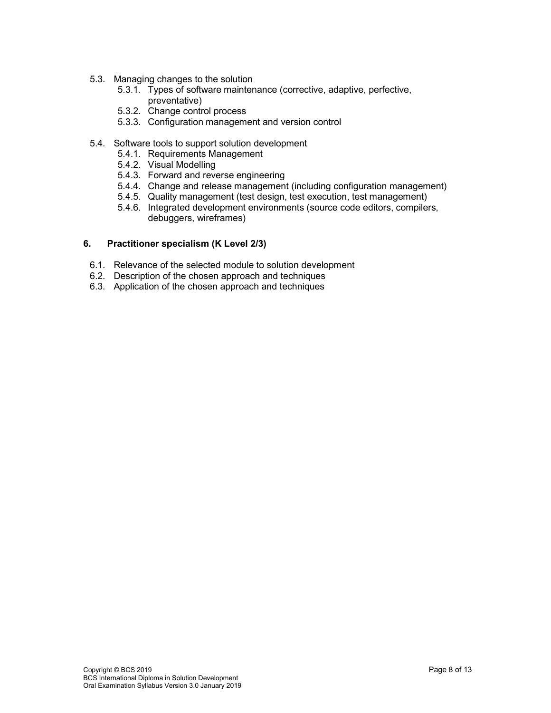- 5.3. Managing changes to the solution
	- 5.3.1. Types of software maintenance (corrective, adaptive, perfective, preventative)
	- 5.3.2. Change control process
	- 5.3.3. Configuration management and version control
- 5.4. Software tools to support solution development
	- 5.4.1. Requirements Management
	- 5.4.2. Visual Modelling
	- 5.4.3. Forward and reverse engineering
	- 5.4.4. Change and release management (including configuration management)
	- 5.4.5. Quality management (test design, test execution, test management)
	- 5.4.6. Integrated development environments (source code editors, compilers, debuggers, wireframes)

#### 6. Practitioner specialism (K Level 2/3)

- 6.1. Relevance of the selected module to solution development
- 6.2. Description of the chosen approach and techniques
- 6.3. Application of the chosen approach and techniques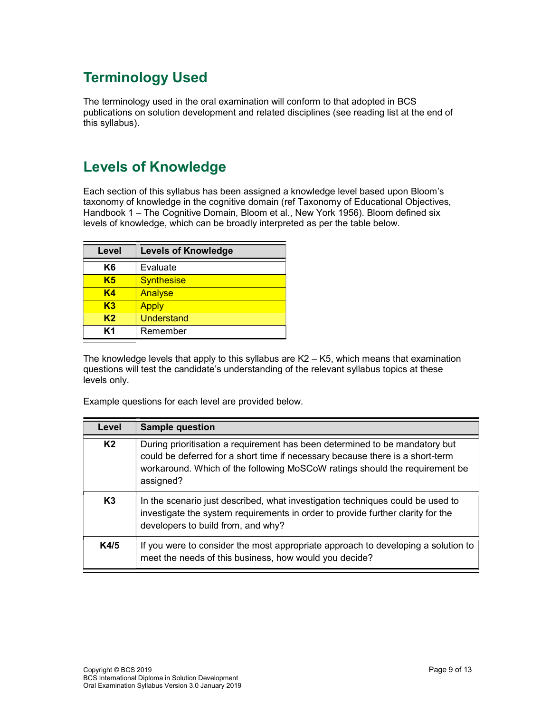# Terminology Used

The terminology used in the oral examination will conform to that adopted in BCS publications on solution development and related disciplines (see reading list at the end of this syllabus).

# Levels of Knowledge

Each section of this syllabus has been assigned a knowledge level based upon Bloom's taxonomy of knowledge in the cognitive domain (ref Taxonomy of Educational Objectives, Handbook 1 – The Cognitive Domain, Bloom et al., New York 1956). Bloom defined six levels of knowledge, which can be broadly interpreted as per the table below.

| Level | <b>Levels of Knowledge</b> |  |
|-------|----------------------------|--|
| K6    | Evaluate                   |  |
| K5    | <b>Synthesise</b>          |  |
| K4    | Analyse                    |  |
| K3    | <b>Apply</b>               |  |
| K2    | <b>Understand</b>          |  |
| K1    | Remember                   |  |

The knowledge levels that apply to this syllabus are  $K2 - K5$ , which means that examination questions will test the candidate's understanding of the relevant syllabus topics at these levels only.

Example questions for each level are provided below.

| Level          | <b>Sample question</b>                                                                                                                                                                                                                                   |
|----------------|----------------------------------------------------------------------------------------------------------------------------------------------------------------------------------------------------------------------------------------------------------|
| K <sub>2</sub> | During prioritisation a requirement has been determined to be mandatory but<br>could be deferred for a short time if necessary because there is a short-term<br>workaround. Which of the following MoSCoW ratings should the requirement be<br>assigned? |
| K3             | In the scenario just described, what investigation techniques could be used to<br>investigate the system requirements in order to provide further clarity for the<br>developers to build from, and why?                                                  |
| K4/5           | If you were to consider the most appropriate approach to developing a solution to<br>meet the needs of this business, how would you decide?                                                                                                              |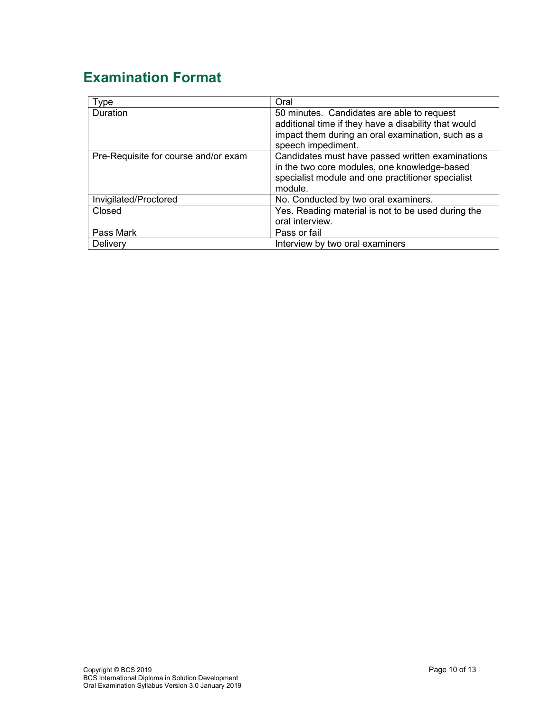# Examination Format

| Type                                 | Oral                                                                                                                                                                          |
|--------------------------------------|-------------------------------------------------------------------------------------------------------------------------------------------------------------------------------|
| <b>Duration</b>                      | 50 minutes. Candidates are able to request<br>additional time if they have a disability that would<br>impact them during an oral examination, such as a<br>speech impediment. |
| Pre-Requisite for course and/or exam | Candidates must have passed written examinations<br>in the two core modules, one knowledge-based<br>specialist module and one practitioner specialist<br>module.              |
| Invigilated/Proctored                | No. Conducted by two oral examiners.                                                                                                                                          |
| Closed                               | Yes. Reading material is not to be used during the<br>oral interview.                                                                                                         |
| Pass Mark                            | Pass or fail                                                                                                                                                                  |
| Delivery                             | Interview by two oral examiners                                                                                                                                               |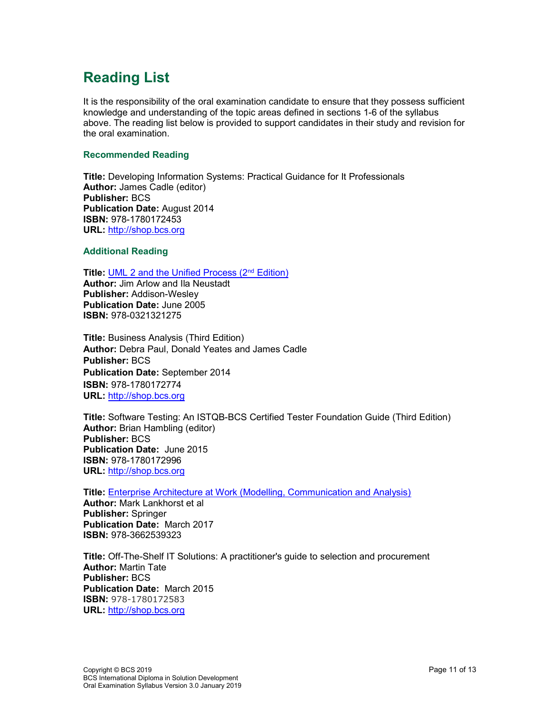# Reading List

It is the responsibility of the oral examination candidate to ensure that they possess sufficient knowledge and understanding of the topic areas defined in sections 1-6 of the syllabus above. The reading list below is provided to support candidates in their study and revision for the oral examination.

#### Recommended Reading

Title: Developing Information Systems: Practical Guidance for It Professionals Author: James Cadle (editor) Publisher: BCS Publication Date: August 2014 ISBN: 978-1780172453 URL: http://shop.bcs.org

#### Additional Reading

Title: UML 2 and the Unified Process (2<sup>nd</sup> Edition)

Author: Jim Arlow and Ila Neustadt Publisher: Addison-Wesley Publication Date: June 2005 ISBN: 978-0321321275

Title: Business Analysis (Third Edition) Author: Debra Paul, Donald Yeates and James Cadle Publisher: BCS Publication Date: September 2014 ISBN: 978-1780172774 URL: http://shop.bcs.org

Title: Software Testing: An ISTQB-BCS Certified Tester Foundation Guide (Third Edition) Author: Brian Hambling (editor) Publisher: BCS Publication Date: June 2015 ISBN: 978-1780172996 URL: http://shop.bcs.org

Title: Enterprise Architecture at Work (Modelling, Communication and Analysis)

Author: Mark Lankhorst et al Publisher: Springer Publication Date: March 2017 ISBN: 978-3662539323

Title: Off-The-Shelf IT Solutions: A practitioner's guide to selection and procurement Author: Martin Tate Publisher: BCS Publication Date: March 2015 ISBN: 978-1780172583 URL: http://shop.bcs.org